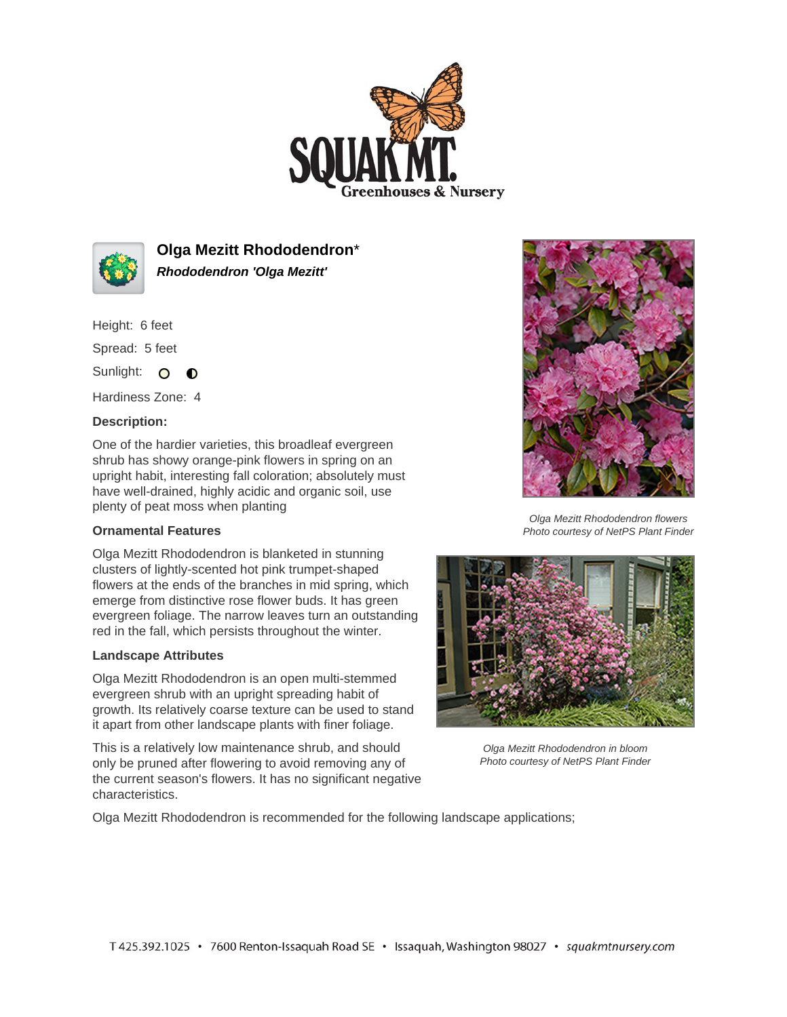



**Olga Mezitt Rhododendron**\* **Rhododendron 'Olga Mezitt'**

Height: 6 feet

Spread: 5 feet

Sunlight: O O

Hardiness Zone: 4

## **Description:**

One of the hardier varieties, this broadleaf evergreen shrub has showy orange-pink flowers in spring on an upright habit, interesting fall coloration; absolutely must have well-drained, highly acidic and organic soil, use plenty of peat moss when planting

## **Ornamental Features**

Olga Mezitt Rhododendron is blanketed in stunning clusters of lightly-scented hot pink trumpet-shaped flowers at the ends of the branches in mid spring, which emerge from distinctive rose flower buds. It has green evergreen foliage. The narrow leaves turn an outstanding red in the fall, which persists throughout the winter.

## **Landscape Attributes**

Olga Mezitt Rhododendron is an open multi-stemmed evergreen shrub with an upright spreading habit of growth. Its relatively coarse texture can be used to stand it apart from other landscape plants with finer foliage.

This is a relatively low maintenance shrub, and should only be pruned after flowering to avoid removing any of the current season's flowers. It has no significant negative characteristics.



Olga Mezitt Rhododendron flowers Photo courtesy of NetPS Plant Finder



Olga Mezitt Rhododendron in bloom Photo courtesy of NetPS Plant Finder

Olga Mezitt Rhododendron is recommended for the following landscape applications;